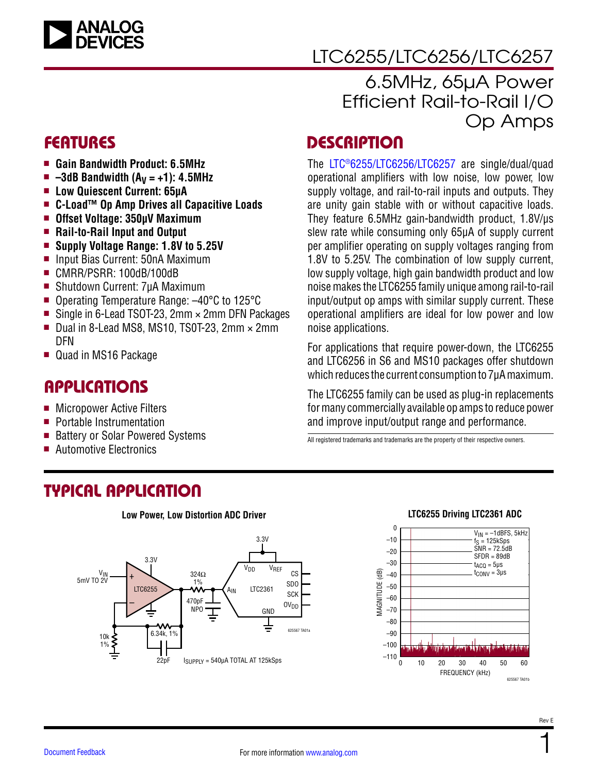

# LTC6255/LTC6256/LTC6257

### 6.5MHz, 65µA Power Efficient Rail-to-Rail I/O Op Amps

### FEATURES

- <sup>n</sup> **Gain Bandwidth Product: 6.5MHz**
- $= -3d$ B Bandwidth  $(A<sub>V</sub> = +1)$ : 4.5MHz
- Low Quiescent Current: 65µA
- C-Load<sup>™</sup> Op Amp Drives all Capacitive Loads
- Offset Voltage: 350µV Maximum
- **n** Rail-to-Rail Input and Output
- Supply Voltage Range: **1.8V** to 5.25V
- Input Bias Current: 50nA Maximum
- CMRR/PSRR: 100dB/100dB
- Shutdown Current: 7µA Maximum
- Operating Temperature Range: -40°C to 125°C
- Single in 6-Lead TSOT-23, 2mm  $\times$  2mm DFN Packages
- Dual in 8-Lead MS8, MS10, TS0T-23, 2mm  $\times$  2mm DFN
- Quad in MS16 Package

### **APPLICATIONS**

- Micropower Active Filters
- **Portable Instrumentation**
- Battery or Solar Powered Systems
- Automotive Electronics

# TYPICAL APPLICATION



**Low Power, Low Distortion ADC Driver**

### **DESCRIPTION**

The [LTC®6255/](http://www.analog.com/LTC6255?doc=LTC6255.pdf)[LTC6256/](http://www.analog.com/LTC6256?doc=LTC6255.pdf)[LTC6257](http://www.analog.com/LTC6257?doc=LTC6255.pdf) are single/dual/quad operational amplifiers with low noise, low power, low supply voltage, and rail-to-rail inputs and outputs. They are unity gain stable with or without capacitive loads. They feature 6.5MHz gain-bandwidth product, 1.8V/µs slew rate while consuming only 65µA of supply current per amplifier operating on supply voltages ranging from 1.8V to 5.25V. The combination of low supply current, low supply voltage, high gain bandwidth product and low noise makes the LTC6255 family unique among rail-to-rail input/output op amps with similar supply current. These operational amplifiers are ideal for low power and low noise applications.

For applications that require power-down, the LTC6255 and LTC6256 in S6 and MS10 packages offer shutdown which reduces the current consumption to 7µA maximum.

The LTC6255 family can be used as plug-in replacements for many commercially available op amps to reduce power and improve input/output range and performance.

All registered trademarks and trademarks are the property of their respective owners.

#### **LTC6255 Driving LTC2361 ADC**

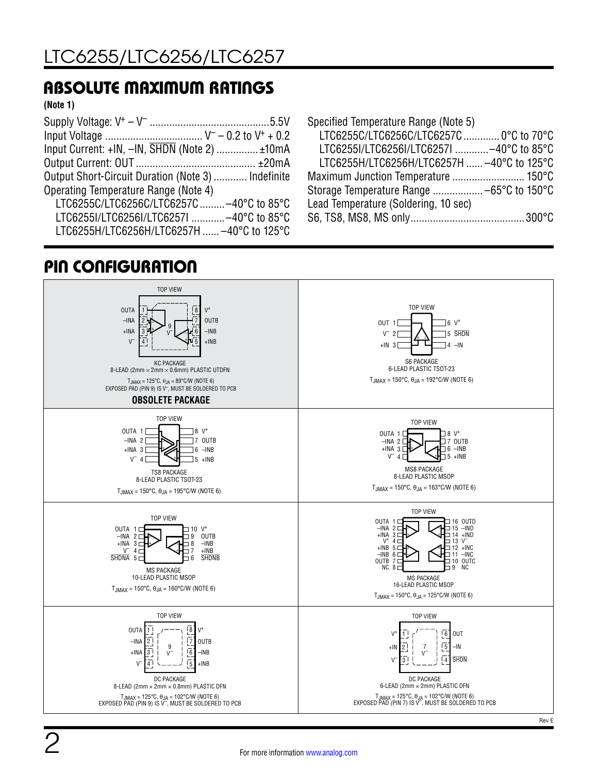### ABSOLUTE MAXIMUM RATINGS

#### **(Note 1)**

| Input Current: +IN, -IN, SHDN (Note 2)  ±10mA      |  |
|----------------------------------------------------|--|
|                                                    |  |
| Output Short-Circuit Duration (Note 3)  Indefinite |  |
| Operating Temperature Range (Note 4)               |  |
| LTC6255C/LTC6256C/LTC6257C -40°C to 85°C           |  |
| LTC6255I/LTC6256I/LTC6257I -40°C to 85°C           |  |
| LTC6255H/LTC6256H/LTC6257H  -40°C to 125°C         |  |

### PIN CONFIGURATION

| Specified Temperature Range (Note 5)       |  |
|--------------------------------------------|--|
| LTC6255C/LTC6256C/LTC6257C  0°C to 70°C    |  |
| LTC6255I/LTC6256I/LTC6257I -40°C to 85°C   |  |
| LTC6255H/LTC6256H/LTC6257H  -40°C to 125°C |  |
|                                            |  |
| Storage Temperature Range  -65°C to 150°C  |  |
| Lead Temperature (Soldering, 10 sec)       |  |
|                                            |  |

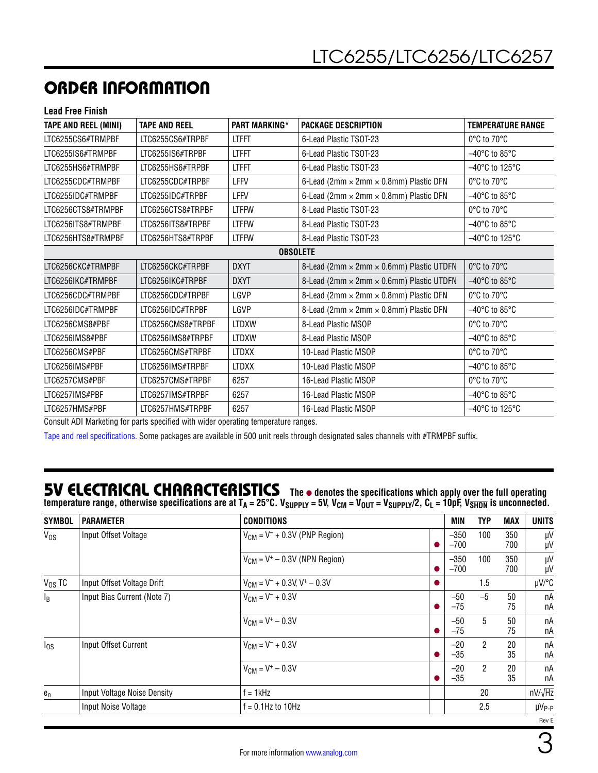# ORDER INFORMATION

**Lead Free Finish**

| <b>TAPE AND REEL (MINI)</b> | <b>TAPE AND REEL</b> | <b>PART MARKING*</b> | <b>PACKAGE DESCRIPTION</b>                           | <b>TEMPERATURE RANGE</b>            |  |
|-----------------------------|----------------------|----------------------|------------------------------------------------------|-------------------------------------|--|
| LTC6255CS6#TRMPBF           | LTC6255CS6#TRPBF     | <b>LTFFT</b>         | 6-Lead Plastic TSOT-23                               | 0°C to 70°C                         |  |
| LTC6255IS6#TRMPBF           | LTC6255IS6#TRPBF     | <b>LTFFT</b>         | 6-Lead Plastic TSOT-23                               | $-40^{\circ}$ C to 85 $^{\circ}$ C  |  |
| LTC6255HS6#TRMPBF           | LTC6255HS6#TRPBF     | <b>LTFFT</b>         | 6-Lead Plastic TSOT-23                               | -40°C to 125°C                      |  |
| LTC6255CDC#TRMPBF           | LTC6255CDC#TRPBF     | <b>LFFV</b>          | 6-Lead (2mm × 2mm × 0.8mm) Plastic DFN               | 0°C to 70°C                         |  |
| LTC6255IDC#TRMPBF           | LTC6255IDC#TRPBF     | <b>LFFV</b>          | 6-Lead (2mm $\times$ 2mm $\times$ 0.8mm) Plastic DFN | $-40^{\circ}$ C to 85 $^{\circ}$ C  |  |
| LTC6256CTS8#TRMPBF          | LTC6256CTS8#TRPBF    | <b>LTFFW</b>         | 8-Lead Plastic TSOT-23                               | 0°C to 70°C                         |  |
| LTC6256ITS8#TRMPBF          | LTC6256ITS8#TRPBF    | <b>LTFFW</b>         | 8-Lead Plastic TSOT-23                               | $-40^{\circ}$ C to 85 $^{\circ}$ C  |  |
| LTC6256HTS8#TRMPBF          | LTC6256HTS8#TRPBF    | <b>LTFFW</b>         | 8-Lead Plastic TSOT-23                               | $-40^{\circ}$ C to 125 $^{\circ}$ C |  |
| <b>OBSOLETE</b>             |                      |                      |                                                      |                                     |  |
| LTC6256CKC#TRMPBF           | LTC6256CKC#TRPBF     | <b>DXYT</b>          | 8-Lead (2mm × 2mm × 0.6mm) Plastic UTDFN             | 0°C to 70°C                         |  |
| LTC6256IKC#TRMPBF           | LTC6256IKC#TRPBF     | <b>DXYT</b>          | 8-Lead (2mm × 2mm × 0.6mm) Plastic UTDFN             | $-40^{\circ}$ C to 85 $^{\circ}$ C  |  |
| LTC6256CDC#TRMPBF           | LTC6256CDC#TRPBF     | LGVP                 | 8-Lead (2mm × 2mm × 0.8mm) Plastic DFN               | 0°C to 70°C                         |  |
| LTC6256IDC#TRMPBF           | LTC6256IDC#TRPBF     | LGVP                 | 8-Lead (2mm × 2mm × 0.8mm) Plastic DFN               | $-40^{\circ}$ C to 85 $^{\circ}$ C  |  |
| LTC6256CMS8#PBF             | LTC6256CMS8#TRPBF    | <b>LTDXW</b>         | 8-Lead Plastic MSOP                                  | 0°C to 70°C                         |  |
| LTC6256IMS8#PBF             | LTC6256IMS8#TRPBF    | <b>LTDXW</b>         | 8-Lead Plastic MSOP                                  | $-40^{\circ}$ C to 85 $^{\circ}$ C  |  |
| LTC6256CMS#PBF              | LTC6256CMS#TRPBF     | LTDXX                | 10-Lead Plastic MSOP                                 | 0°C to 70°C                         |  |
| LTC6256IMS#PBF              | LTC6256IMS#TRPBF     | <b>LTDXX</b>         | 10-Lead Plastic MSOP                                 | $-40^{\circ}$ C to 85 $^{\circ}$ C  |  |
| LTC6257CMS#PBF              | LTC6257CMS#TRPBF     | 6257                 | 16-Lead Plastic MSOP                                 | 0°C to 70°C                         |  |
| LTC6257IMS#PBF              | LTC6257IMS#TRPBF     | 6257                 | 16-Lead Plastic MSOP                                 | $-40^{\circ}$ C to 85 $^{\circ}$ C  |  |
| LTC6257HMS#PBF              | LTC6257HMS#TRPBF     | 6257                 | 16-Lead Plastic MSOP                                 | $-40^{\circ}$ C to 125 $^{\circ}$ C |  |

Consult ADI Marketing for parts specified with wider operating temperature ranges.

[Tape and reel specifications](http://www.analog.com/media/en/package-pcb-resources/package/tape-reel-rev-n.pdf). Some packages are available in 500 unit reels through designated sales channels with #TRMPBF suffix.

### **5V ELECTRICAL CHARACTERISTICS** The  $\bullet$  denotes the specifications which apply over the full operating temperature range, otherwise specifications are at T<sub>A</sub> = 25°C. V<sub>SUPPLY</sub> = 5V, V<sub>CM</sub> = V<sub>OUT</sub> = V<sub>SUPPLY</sub>/2, C<sub>L</sub> = 10pF, V<sub>SHDN</sub> is unconnected.

| <b>SYMBOL</b> | <b>PARAMETER</b>            | <b>CONDITIONS</b>                             | MIN              | TYP            | MAX        | <b>UNITS</b>      |
|---------------|-----------------------------|-----------------------------------------------|------------------|----------------|------------|-------------------|
| $V_{OS}$      | Input Offset Voltage        | $V_{CM} = V^- + 0.3V$ (PNP Region)            | $-350$<br>$-700$ | 100            | 350<br>700 | μV<br>μV          |
|               |                             | $V_{CM}$ = V <sup>+</sup> – 0.3V (NPN Region) | $-350$<br>$-700$ | 100            | 350<br>700 | μV<br>μV          |
| $V_{OS}$ TC   | Input Offset Voltage Drift  | $V_{CM} = V^- + 0.3V$ , $V^+ - 0.3V$          |                  | 1.5            |            | $\mu$ V/°C        |
| $I_B$         | Input Bias Current (Note 7) | $V_{CM} = V^- + 0.3V$                         | $-50$<br>$-75$   | $-5$           | 50<br>75   | пA<br>пA          |
|               |                             | $V_{CM} = V^+ - 0.3V$                         | $-50$<br>$-75$   | 5              | 50<br>75   | пA<br>пA          |
| $I_{OS}$      | Input Offset Current        | $V_{CM} = V^- + 0.3V$                         | $-20$<br>$-35$   | $\overline{2}$ | 20<br>35   | пA<br>пA          |
|               |                             | $V_{CM} = V^+ - 0.3V$                         | $-20$<br>$-35$   | $\overline{2}$ | 20<br>35   | пA<br>пA          |
| $e_n$         | Input Voltage Noise Density | $f = 1$ kHz                                   |                  | 20             |            | $nV/\sqrt{Hz}$    |
|               | Input Noise Voltage         | $f = 0.1$ Hz to 10Hz                          |                  | 2.5            |            | µV <sub>P-P</sub> |
|               |                             |                                               |                  |                |            | Rev E             |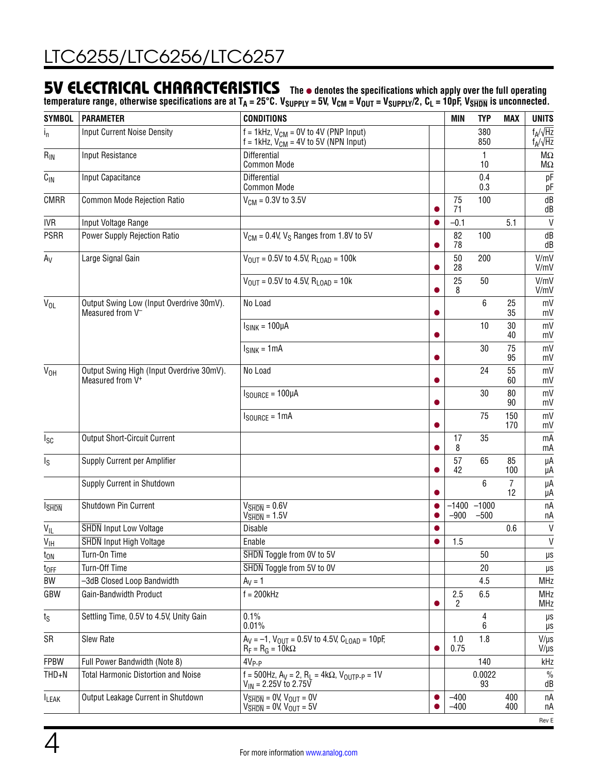### **5V ELECTRICAL CHARACTERISTICS** The  $\bullet$  denotes the specifications which apply over the full operating

temperature range, otherwise specifications are at T<sub>A</sub> = 25°C. V<sub>SUPPLY</sub> = 5V, V<sub>CM</sub> = V<sub>OUT</sub> = V<sub>SUPPLY</sub>/2, C<sub>L</sub> = 10pF, V<sub>SHDN</sub> is unconnected.

| <b>SYMBOL</b>              | <b>PARAMETER</b>                                                          | <b>CONDITIONS</b>                                                                                                         |                | <b>MIN</b>          | <b>TYP</b>               | <b>MAX</b>           | <b>UNITS</b>                       |
|----------------------------|---------------------------------------------------------------------------|---------------------------------------------------------------------------------------------------------------------------|----------------|---------------------|--------------------------|----------------------|------------------------------------|
| $i_{n}$                    | <b>Input Current Noise Density</b>                                        | $f = 1$ kHz, $V_{CM} = 0V$ to 4V (PNP Input)<br>$f = 1$ kHz, $V_{CM} = 4V$ to 5V (NPN Input)                              |                |                     | 380<br>850               |                      | $f_A/\sqrt{Hz}$<br>$f_A/\sqrt{Hz}$ |
| $R_{IN}$                   | <b>Input Resistance</b>                                                   | <b>Differential</b><br><b>Common Mode</b>                                                                                 |                |                     | 1<br>10                  |                      | $M\Omega$<br>$M\Omega$             |
| $C_{IN}$                   | Input Capacitance                                                         | Differential<br><b>Common Mode</b>                                                                                        |                |                     | 0.4<br>0.3               |                      | pF<br>pF                           |
| <b>CMRR</b>                | Common Mode Rejection Ratio                                               | $V_{CM} = 0.3V$ to 3.5V                                                                                                   |                | 75<br>71            | 100                      |                      | dB<br>dB                           |
| <b>IVR</b>                 | Input Voltage Range                                                       |                                                                                                                           |                | $-0.1$              |                          | 5.1                  | $\mathsf{V}$                       |
| <b>PSRR</b>                | Power Supply Rejection Ratio                                              | $V_{CM}$ = 0.4V, $V_S$ Ranges from 1.8V to 5V                                                                             |                | 82<br>78            | 100                      |                      | dB<br>dB                           |
| $A_V$                      | Large Signal Gain                                                         | $V_{\text{OUT}} = 0.5V$ to 4.5V, R <sub>LOAD</sub> = 100k                                                                 |                | 50<br>28            | 200                      |                      | V/mV<br>V/mV                       |
|                            |                                                                           | $V_{\text{OUT}} = 0.5V$ to 4.5V, $R_{\text{LOAD}} = 10k$                                                                  |                | 25<br>8             | 50                       |                      | V/mV<br>V/mV                       |
| $V_{OL}$                   | Output Swing Low (Input Overdrive 30mV).<br>Measured from V <sup>-</sup>  | No Load                                                                                                                   |                |                     | 6                        | 25<br>35             | mV<br>mV                           |
|                            |                                                                           | $ISINK = 100µA$                                                                                                           | $\bullet$      |                     | 10                       | 30<br>40             | mV<br>mV                           |
|                            |                                                                           | $ISINK = 1mA$                                                                                                             | ●              |                     | 30                       | 75<br>95             | mV<br>mV                           |
| $V_{OH}$                   | Output Swing High (Input Overdrive 30mV).<br>Measured from V <sup>+</sup> | No Load                                                                                                                   | 0              |                     | 24                       | 55<br>60             | mV<br>mV                           |
|                            |                                                                           | $I_{\text{SOURCE}} = 100 \mu A$                                                                                           |                |                     | 30                       | 80<br>90             | mV<br>mV                           |
|                            |                                                                           | $I_{\text{SOURCE}} = 1 \text{mA}$                                                                                         |                |                     | 75                       | 150<br>170           | mV<br>mV                           |
| $I_{SC}$                   | <b>Output Short-Circuit Current</b>                                       |                                                                                                                           |                | 17<br>8             | 35                       |                      | mA<br>mA                           |
| $\mathsf{I}_\mathsf{S}$    | Supply Current per Amplifier                                              |                                                                                                                           |                | 57<br>42            | 65                       | 85<br>100            | μA<br>μA                           |
|                            | Supply Current in Shutdown                                                |                                                                                                                           |                |                     | 6                        | $\overline{7}$<br>12 | μA<br>μA                           |
| <b>I</b> SHDN              | Shutdown Pin Current                                                      | $V_{\overline{\text{SHDN}}} = 0.6 V$<br>$V\overline{\text{SHDN}} = 1.5V$                                                  | $\bullet$<br>● | $-900$              | $-1400 - 1000$<br>$-500$ |                      | nA<br>пA                           |
| VIL                        | <b>SHDN</b> Input Low Voltage                                             | Disable                                                                                                                   | 0              |                     |                          | 0.6                  | $\mathsf{V}$                       |
| $\mathsf{V}_{\mathsf{IH}}$ | <b>SHDN</b> Input High Voltage                                            | Enable                                                                                                                    | $\bullet$      | 1.5                 |                          |                      | V                                  |
| t <sub>on</sub>            | Turn-On Time                                                              | SHDN Toggle from 0V to 5V                                                                                                 |                |                     | 50                       |                      | $\mu\text{s}$                      |
| $t_{OFF}$                  | Turn-Off Time                                                             | SHDN Toggle from 5V to 0V                                                                                                 |                |                     | 20                       |                      | μs                                 |
| BW                         | -3dB Closed Loop Bandwidth                                                | $A_V = 1$                                                                                                                 |                |                     | 4.5                      |                      | <b>MHz</b>                         |
| GBW                        | Gain-Bandwidth Product                                                    | $f = 200kHz$                                                                                                              |                | 2.5<br>$\mathbf{2}$ | 6.5                      |                      | <b>MHz</b><br><b>MHz</b>           |
| $t_{\rm S}$                | Settling Time, 0.5V to 4.5V, Unity Gain                                   | 0.1%<br>0.01%                                                                                                             |                |                     | 4<br>6                   |                      | μs<br>μs                           |
| SR                         | Slew Rate                                                                 | $A_V = -1$ , $V_{OUT} = 0.5V$ to 4.5V, $C_{LOAD} = 10pF$ ,<br>$R_F = R_G = 10k\Omega$                                     | O              | 1.0<br>0.75         | 1.8                      |                      | $V/\mu s$<br>$V/\mu s$             |
| <b>FPBW</b>                | Full Power Bandwidth (Note 8)                                             | $4V_{P-P}$                                                                                                                |                |                     | 140                      |                      | kHz                                |
| $THD + N$                  | <b>Total Harmonic Distortion and Noise</b>                                | f = 500Hz, $A_V = 2$ , $R_L = 4k\Omega$ , $V_{OUTP-P} = 1V$<br>$V_{IN}$ = 2.25V to 2.75V                                  |                |                     | 0.0022<br>93             |                      | $\%$<br>dB                         |
| <b>LEAK</b>                | Output Leakage Current in Shutdown                                        | $V_{\overline{\text{SHDN}}} = 0 V, V_{\text{OUT}} = 0 V$<br>$V\overline{\text{SHDN}}$ = 0V, $V\overline{\text{OUT}}$ = 5V | $\bullet$      | $-400$<br>$-400$    |                          | 400<br>400           | nA<br>nА                           |
|                            |                                                                           |                                                                                                                           |                |                     |                          |                      | Rev E                              |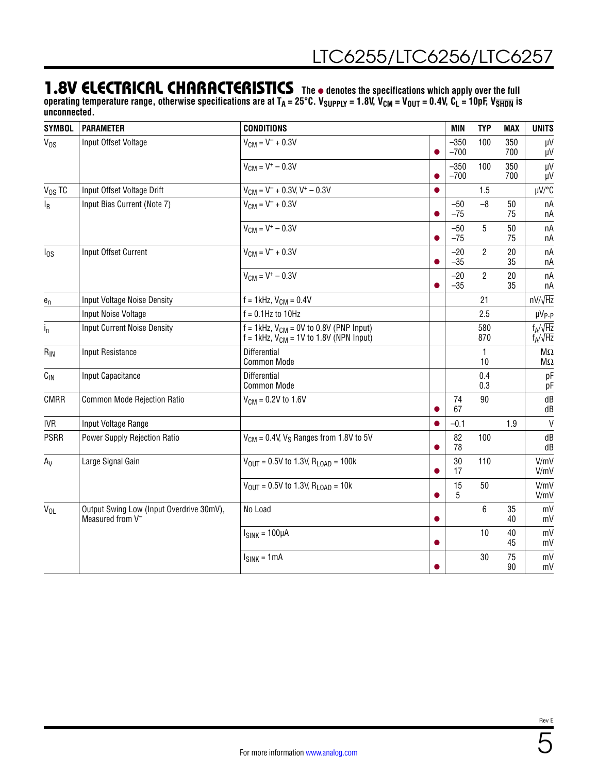### **1.8V ELECTRICAL CHARACTERISTICS** The  $\bullet$  denotes the specifications which apply over the full

operating temperature range, otherwise specifications are at T<sub>A</sub> = 25°C. V<sub>SUPPLY</sub> = 1.8V, V<sub>CM</sub> = V<sub>OUT</sub> = 0.4V, C<sub>L</sub> = 10pF, V<sub>SHDN</sub> is **unconnected.**

| <b>SYMBOL</b>   | <b>PARAMETER</b>                                                         | <b>CONDITIONS</b>                                                                                              |           | <b>MIN</b>       | <b>TYP</b>     | <b>MAX</b> | <b>UNITS</b>                        |
|-----------------|--------------------------------------------------------------------------|----------------------------------------------------------------------------------------------------------------|-----------|------------------|----------------|------------|-------------------------------------|
| $V_{OS}$        | Input Offset Voltage                                                     | $V_{CM} = V^- + 0.3V$                                                                                          | O         | $-350$<br>$-700$ | 100            | 350<br>700 | μV<br>μV                            |
|                 |                                                                          | $V_{CM} = V^+ - 0.3V$                                                                                          |           | $-350$<br>$-700$ | 100            | 350<br>700 | $\mu$ V<br>μV                       |
| $V_{OS}$ TC     | Input Offset Voltage Drift                                               | $V_{CM} = V^- + 0.3V$ , $V^+ - 0.3V$                                                                           | $\bullet$ |                  | 1.5            |            | µV/°C                               |
| $I_B$           | Input Bias Current (Note 7)                                              | $V_{CM} = V^- + 0.3V$                                                                                          | $\bullet$ | $-50$<br>$-75$   | $-8$           | 50<br>75   | nA<br>пA                            |
|                 |                                                                          | $V_{CM} = V^+ - 0.3V$                                                                                          | ●         | $-50$<br>$-75$   | 5              | 50<br>75   | nA<br>пA                            |
| $I_{OS}$        | Input Offset Current                                                     | $V_{CM} = V^- + 0.3V$                                                                                          | O         | $-20$<br>$-35$   | $\overline{2}$ | 20<br>35   | nA<br>пA                            |
|                 |                                                                          | $V_{CM} = V^+ - 0.3V$                                                                                          |           | $-20$<br>$-35$   | $\overline{2}$ | 20<br>35   | nA<br>пA                            |
| ${\bf e}_n$     | Input Voltage Noise Density                                              | $f = 1$ kHz, $V_{CM} = 0.4V$                                                                                   |           |                  | 21             |            | $nV/\sqrt{Hz}$                      |
|                 | Input Noise Voltage                                                      | $f = 0.1$ Hz to 10Hz                                                                                           |           |                  | 2.5            |            | $\mu V_{P-P}$                       |
| $i_{n}$         | <b>Input Current Noise Density</b>                                       | $f = 1$ kHz, V <sub>CM</sub> = 0V to 0.8V (PNP Input)<br>$f = 1$ kHz, V <sub>CM</sub> = 1V to 1.8V (NPN Input) |           |                  | 580<br>870     |            | $f_A/\sqrt{Hz}$<br>$f_A/\sqrt{Hz}$  |
| $R_{IN}$        | Input Resistance                                                         | Differential<br>Common Mode                                                                                    |           |                  | 1<br>10        |            | $\mathsf{M}\Omega$<br>$\sf M\Omega$ |
| $C_{\text{IN}}$ | Input Capacitance                                                        | Differential<br><b>Common Mode</b>                                                                             |           |                  | 0.4<br>0.3     |            | pF<br>pF                            |
| CMRR            | Common Mode Rejection Ratio                                              | $V_{CM} = 0.2V$ to 1.6V                                                                                        |           | 74<br>67         | 90             |            | dB<br>dB                            |
| <b>IVR</b>      | Input Voltage Range                                                      |                                                                                                                | $\bullet$ | $-0.1$           |                | 1.9        | $\mathsf{V}$                        |
| <b>PSRR</b>     | Power Supply Rejection Ratio                                             | $V_{CM}$ = 0.4V, $V_S$ Ranges from 1.8V to 5V                                                                  | o         | 82<br>78         | 100            |            | dB<br>dB                            |
| $A_V$           | Large Signal Gain                                                        | $V_{\text{OUT}} = 0.5V$ to 1.3V, R <sub>LOAD</sub> = 100k                                                      |           | $30\,$<br>17     | 110            |            | V/mV<br>V/mV                        |
|                 |                                                                          | $V_{OUT}$ = 0.5V to 1.3V, R <sub>LOAD</sub> = 10k                                                              |           | 15<br>5          | 50             |            | V/mV<br>V/mV                        |
| $V_{OL}$        | Output Swing Low (Input Overdrive 30mV),<br>Measured from V <sup>-</sup> | No Load                                                                                                        |           |                  | 6              | 35<br>40   | mV<br>mV                            |
|                 |                                                                          | $ISINK = 100\muA$                                                                                              | ●         |                  | 10             | 40<br>45   | mV<br>mV                            |
|                 |                                                                          | $ISINK = 1mA$                                                                                                  |           |                  | 30             | 75<br>90   | mV<br>mV                            |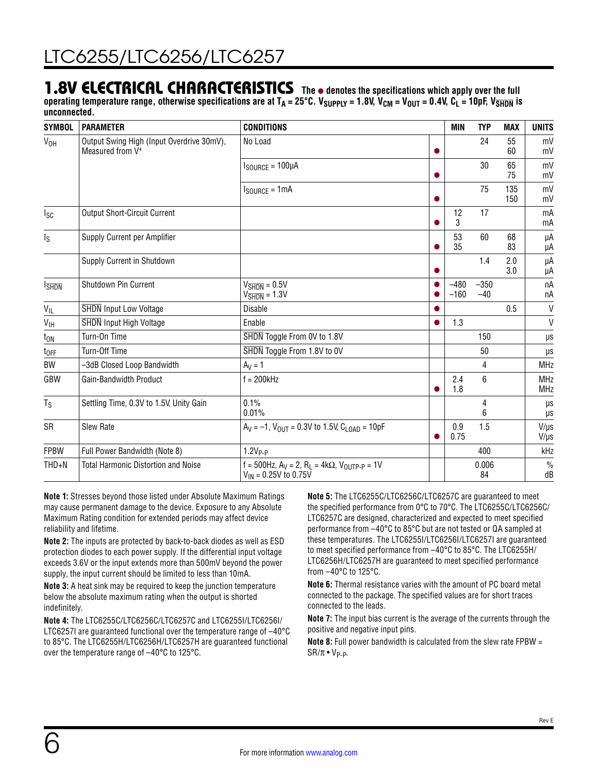### **1.8V ELECTRICAL CHARACTERISTICS** The  $\bullet$  denotes the specifications which apply over the full

operating temperature range, otherwise specifications are at T<sub>A</sub> = 25°C. V<sub>SUPPLY</sub> = 1.8V, V<sub>CM</sub> = V<sub>OUT</sub> = 0.4V, C<sub>L</sub> = 10pF, V<sub>SHDN</sub> is **unconnected.**

| <b>SYMBOL</b>           | <b>PARAMETER</b>                                                          | <b>CONDITIONS</b>                                                                        |           | MIN              | <b>TYP</b>      | <b>MAX</b> | <b>UNITS</b>             |
|-------------------------|---------------------------------------------------------------------------|------------------------------------------------------------------------------------------|-----------|------------------|-----------------|------------|--------------------------|
| V <sub>OH</sub>         | Output Swing High (Input Overdrive 30mV),<br>Measured from V <sup>+</sup> | No Load                                                                                  | 0         |                  | 24              | 55<br>60   | mV<br>mV                 |
|                         |                                                                           | $I_{\text{SOLRCE}} = 100 \mu A$                                                          | O         |                  | 30              | 65<br>75   | mV<br>mV                 |
|                         |                                                                           | $I_{\text{SOURCE}} = 1 \text{mA}$                                                        | $\bullet$ |                  | 75              | 135<br>150 | mV<br>mV                 |
| $I_{SC}$                | <b>Output Short-Circuit Current</b>                                       |                                                                                          | 0         | 12<br>3          | 17              |            | mA<br>mA                 |
| $\mathsf{I}_\mathsf{S}$ | Supply Current per Amplifier                                              |                                                                                          |           | 53<br>35         | 60              | 68<br>83   | μA<br>μA                 |
|                         | Supply Current in Shutdown                                                |                                                                                          |           |                  | 1.4             | 2.0<br>3.0 | μA<br>μA                 |
| <b>I</b> SHDN           | Shutdown Pin Current                                                      | $V_{\overline{\text{SHDN}}} = 0.5 V$<br>$V_{\overline{\text{SHDN}}} = 1.3 V$             |           | $-480$<br>$-160$ | $-350$<br>$-40$ |            | nA<br>пA                 |
| $V_{\parallel L}$       | <b>SHDN</b> Input Low Voltage                                             | <b>Disable</b>                                                                           |           |                  |                 | 0.5        | V                        |
| $V_{\text{IH}}$         | <b>SHDN</b> Input High Voltage                                            | Enable                                                                                   |           | 1.3              |                 |            | $\mathsf{V}$             |
| $t_{ON}$                | Turn-On Time                                                              | SHDN Toggle From 0V to 1.8V                                                              |           |                  | 150             |            | $\mu s$                  |
| $t_{OFF}$               | Turn-Off Time                                                             | SHDN Toggle From 1.8V to 0V                                                              |           |                  | 50              |            | μs                       |
| BW                      | -3dB Closed Loop Bandwidth                                                | $A_V = 1$                                                                                |           |                  | 4               |            | <b>MHz</b>               |
| GBW                     | Gain-Bandwidth Product                                                    | $f = 200$ kHz                                                                            |           | 2.4<br>1.8       | 6               |            | <b>MHz</b><br><b>MHz</b> |
| $T_S$                   | Settling Time, 0.3V to 1.5V, Unity Gain                                   | 0.1%<br>0.01%                                                                            |           |                  | 4<br>6          |            | μs<br>μs                 |
| SR                      | Slew Rate                                                                 | $A_V = -1$ , $V_{OIII} = 0.3V$ to 1.5V, $C_{I OAD} = 10pF$                               |           | 0.9<br>0.75      | 1.5             |            | $V/\mu s$<br>$V/\mu s$   |
| <b>FPBW</b>             | Full Power Bandwidth (Note 8)                                             | $1.2VP-P$                                                                                |           |                  | 400             |            | kHz                      |
| $THD + N$               | <b>Total Harmonic Distortion and Noise</b>                                | f = 500Hz, $A_V = 2$ , $R_L = 4k\Omega$ , $V_{OUTP-P} = 1V$<br>$V_{IN}$ = 0.25V to 0.75V |           |                  | 0.006<br>84     |            | $\%$<br>dB               |

**Note 1:** Stresses beyond those listed under Absolute Maximum Ratings may cause permanent damage to the device. Exposure to any Absolute Maximum Rating condition for extended periods may affect device reliability and lifetime.

**Note 2:** The inputs are protected by back-to-back diodes as well as ESD protection diodes to each power supply. If the differential input voltage exceeds 3.6V or the input extends more than 500mV beyond the power supply, the input current should be limited to less than 10mA.

**Note 3:** A heat sink may be required to keep the junction temperature below the absolute maximum rating when the output is shorted indefinitely.

**Note 4:** The LTC6255C/LTC6256C/LTC6257C and LTC6255I/LTC6256I/ LTC6257I are guaranteed functional over the temperature range of –40°C to 85°C. The LTC6255H/LTC6256H/LTC6257H are guaranteed functional over the temperature range of –40°C to 125°C.

**Note 5:** The LTC6255C/LTC6256C/LTC6257C are guaranteed to meet the specified performance from 0°C to 70°C. The LTC6255C/LTC6256C/ LTC6257C are designed, characterized and expected to meet specified performance from –40°C to 85°C but are not tested or QA sampled at these temperatures. The LTC6255I/LTC6256I/LTC6257I are guaranteed to meet specified performance from –40°C to 85°C. The LTC6255H/ LTC6256H/LTC6257H are guaranteed to meet specified performance from –40°C to 125°C.

**Note 6:** Thermal resistance varies with the amount of PC board metal connected to the package. The specified values are for short traces connected to the leads.

**Note 7:** The input bias current is the average of the currents through the positive and negative input pins.

**Note 8:** Full power bandwidth is calculated from the slew rate FPBW =  $SR/\pi \cdot V_{P-P.}$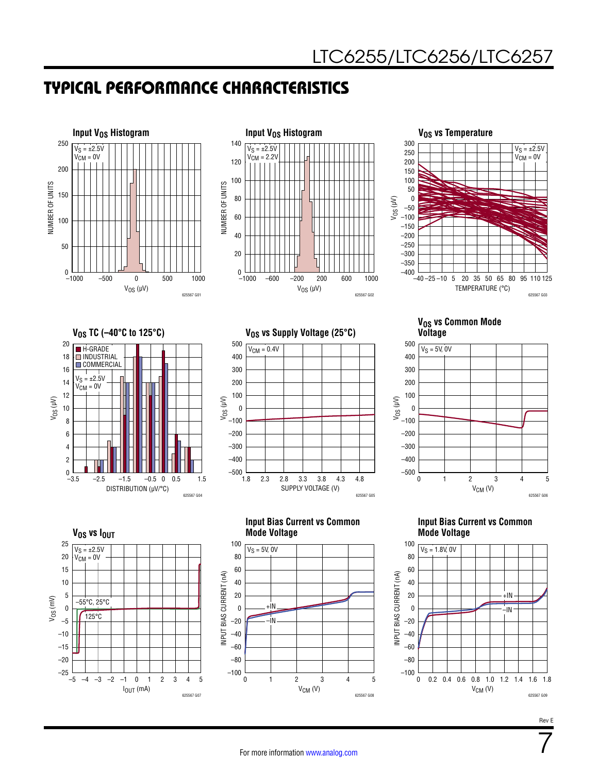





#### **VOS vs Common Mode Voltage**







**V<sub>OS</sub>** vs  $I_{OUT}$  $I_{OUT}$  (mA) –5 –4 –3 –2 –1 0 1 2 3 4 5 VOS (mV) 25 –5 20 10 0 –15 15 5 –20 –10  $-25$   $-5$  $-2$   $-1$  0 1 2 3 625567 G07 –55°C, 25°C 125°C  $V_S = \pm 2.5V$  $V_{CM} = 0V$ 

#### **Input Bias Current vs Common Mode Voltage**



#### **Input Bias Current vs Common Mode Voltage**



Rev E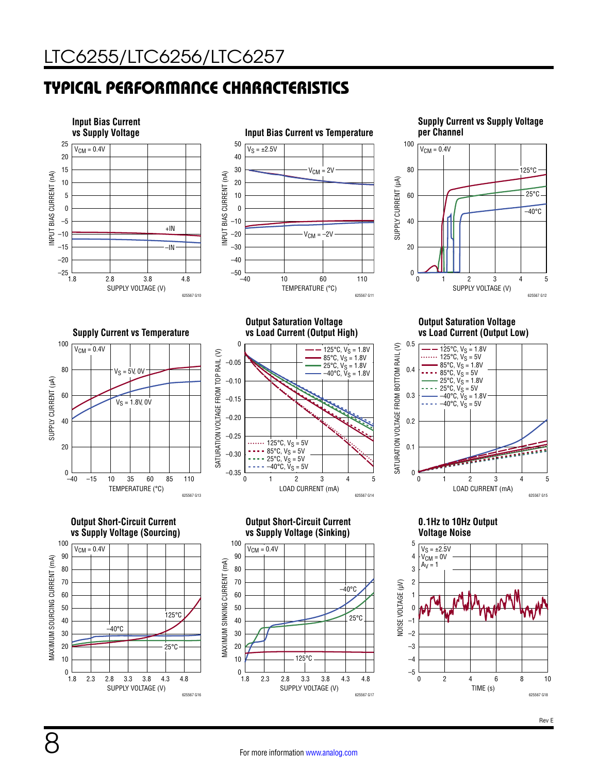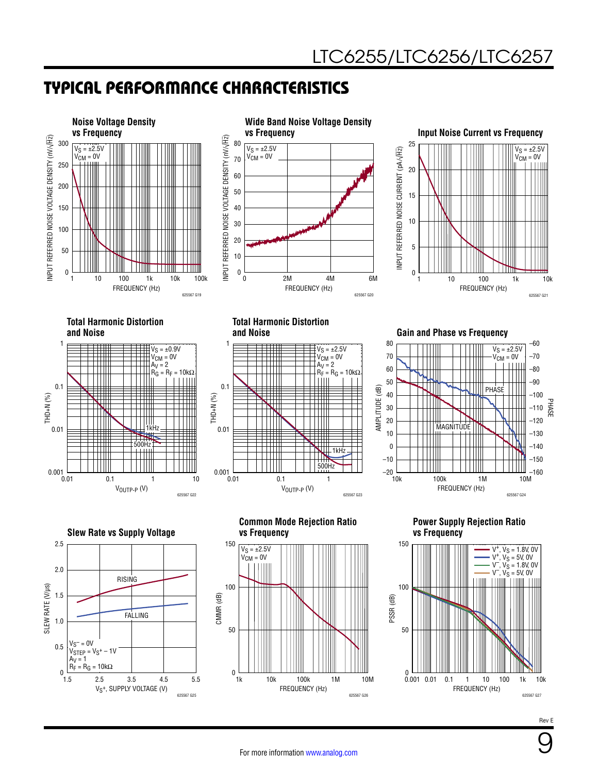

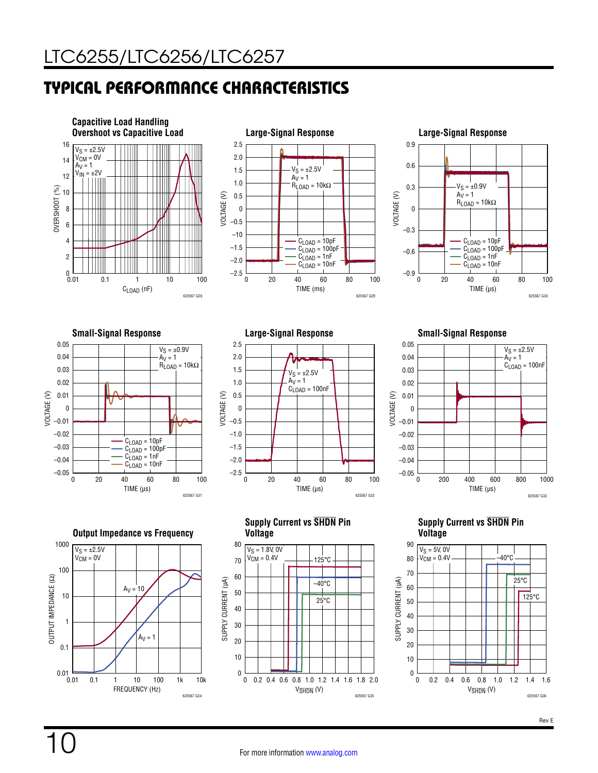<span id="page-9-0"></span>

















**Supply Current vs SHDN Pin Voltage**

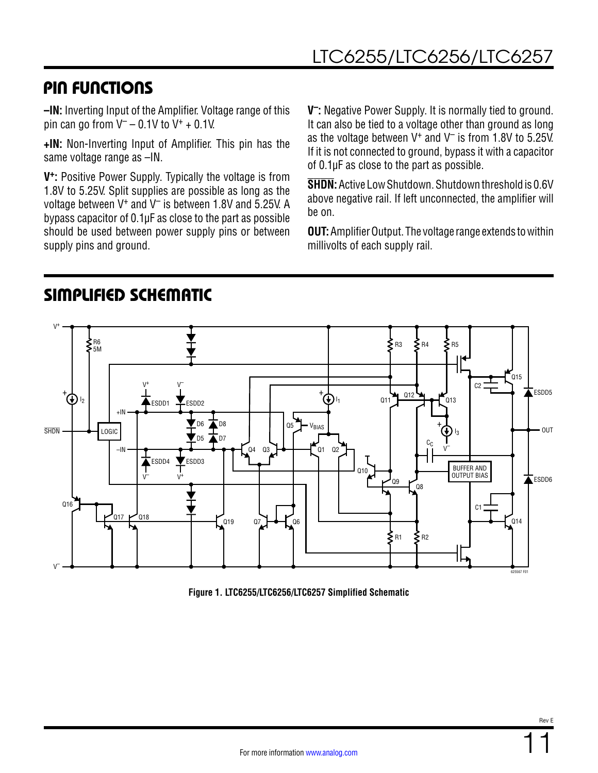### PIN FUNCTIONS

**–IN:** Inverting Input of the Amplifier. Voltage range of this pin can go from  $V^-$  – 0.1V to  $V^+$  + 0.1V.

**+IN:** Non-Inverting Input of Amplifier. This pin has the same voltage range as –IN.

**V+:** Positive Power Supply. Typically the voltage is from 1.8V to 5.25V. Split supplies are possible as long as the voltage between V+ and V– is between 1.8V and 5.25V. A bypass capacitor of 0.1µF as close to the part as possible should be used between power supply pins or between supply pins and ground.

SIMPLIFIED SCHEMATIC

**V–:** Negative Power Supply. It is normally tied to ground. It can also be tied to a voltage other than ground as long as the voltage between  $V^+$  and  $V^-$  is from 1.8V to 5.25V. If it is not connected to ground, bypass it with a capacitor of 0.1µF as close to the part as possible.

**SHDN:** Active Low Shutdown. Shutdown threshold is 0.6V above negative rail. If left unconnected, the amplifier will be on.

**OUT:** Amplifier Output. The voltage range extends to within millivolts of each supply rail.



<span id="page-10-0"></span>**Figure 1. LTC6255/LTC6256/LTC6257 Simplified Schematic**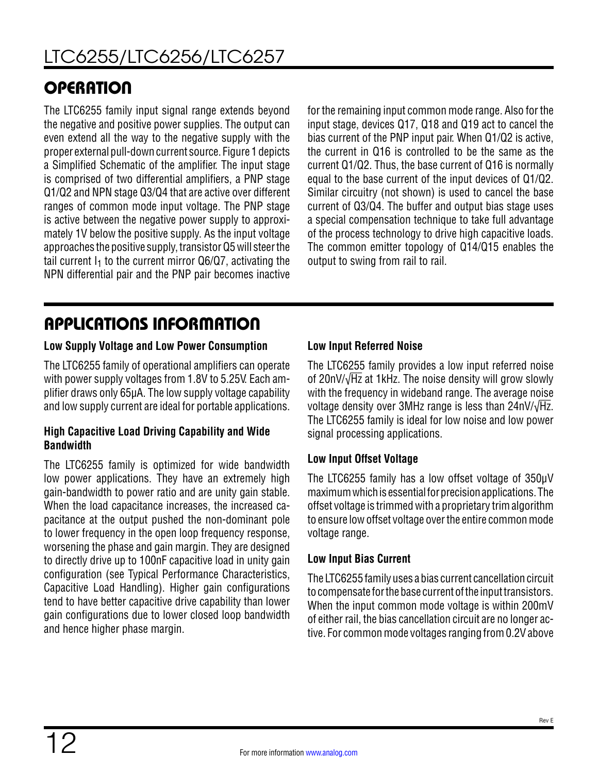# **OPERATION**

The LTC6255 family input signal range extends beyond the negative and positive power supplies. The output can even extend all the way to the negative supply with the proper external pull-down current source. [Figure 1](#page-10-0) depicts a Simplified Schematic of the amplifier. The input stage is comprised of two differential amplifiers, a PNP stage Q1/Q2 and NPN stage Q3/Q4 that are active over different ranges of common mode input voltage. The PNP stage is active between the negative power supply to approximately 1V below the positive supply. As the input voltage approaches the positive supply, transistor Q5 will steer the tail current  $I_1$  to the current mirror Q6/Q7, activating the NPN differential pair and the PNP pair becomes inactive

for the remaining input common mode range. Also for the input stage, devices Q17, Q18 and Q19 act to cancel the bias current of the PNP input pair. When Q1/Q2 is active, the current in Q16 is controlled to be the same as the current Q1/Q2. Thus, the base current of Q16 is normally equal to the base current of the input devices of Q1/Q2. Similar circuitry (not shown) is used to cancel the base current of Q3/Q4. The buffer and output bias stage uses a special compensation technique to take full advantage of the process technology to drive high capacitive loads. The common emitter topology of Q14/Q15 enables the output to swing from rail to rail.

# APPLICATIONS INFORMATION

#### **Low Supply Voltage and Low Power Consumption**

The LTC6255 family of operational amplifiers can operate with power supply voltages from 1.8V to 5.25V. Each amplifier draws only 65µA. The low supply voltage capability and low supply current are ideal for portable applications.

#### **High Capacitive Load Driving Capability and Wide Bandwidth**

The LTC6255 family is optimized for wide bandwidth low power applications. They have an extremely high gain-bandwidth to power ratio and are unity gain stable. When the load capacitance increases, the increased capacitance at the output pushed the non-dominant pole to lower frequency in the open loop frequency response, worsening the phase and gain margin. They are designed to directly drive up to 100nF capacitive load in unity gain configuration (see [Typical Performance Characteristics](#page-9-0), Capacitive Load Handling). Higher gain configurations tend to have better capacitive drive capability than lower gain configurations due to lower closed loop bandwidth and hence higher phase margin.

#### **Low Input Referred Noise**

The LTC6255 family provides a low input referred noise of 20nV/√Hz at 1kHz. The noise density will grow slowly with the frequency in wideband range. The average noise voltage density over 3MHz range is less than  $24nV/\sqrt{Hz}$ . The LTC6255 family is ideal for low noise and low power signal processing applications.

#### **Low Input Offset Voltage**

The LTC6255 family has a low offset voltage of 350μV maximum which is essential for precision applications. The offset voltage is trimmed with a proprietary trim algorithm to ensure low offset voltage over the entire common mode voltage range.

#### **Low Input Bias Current**

The LTC6255 family uses a bias current cancellation circuit to compensate for the base current of the input transistors. When the input common mode voltage is within 200mV of either rail, the bias cancellation circuit are no longer active. For common mode voltages ranging from 0.2V above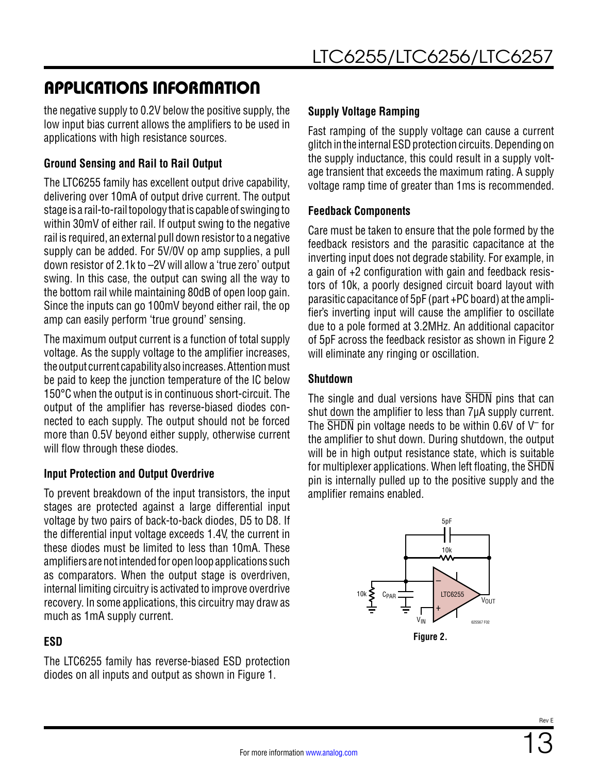### APPLICATIONS INFORMATION

the negative supply to 0.2V below the positive supply, the low input bias current allows the amplifiers to be used in applications with high resistance sources.

#### **Ground Sensing and Rail to Rail Output**

The LTC6255 family has excellent output drive capability, delivering over 10mA of output drive current. The output stage is a rail-to-rail topology that is capable of swinging to within 30mV of either rail. If output swing to the negative rail is required, an external pull down resistor to a negative supply can be added. For 5V/0V op amp supplies, a pull down resistor of 2.1k to –2V will allow a 'true zero' output swing. In this case, the output can swing all the way to the bottom rail while maintaining 80dB of open loop gain. Since the inputs can go 100mV beyond either rail, the op amp can easily perform 'true ground' sensing.

The maximum output current is a function of total supply voltage. As the supply voltage to the amplifier increases, the output current capability also increases. Attention must be paid to keep the junction temperature of the IC below 150°C when the output is in continuous short-circuit. The output of the amplifier has reverse-biased diodes connected to each supply. The output should not be forced more than 0.5V beyond either supply, otherwise current will flow through these diodes.

#### **Input Protection and Output Overdrive**

To prevent breakdown of the input transistors, the input stages are protected against a large differential input voltage by two pairs of back-to-back diodes, D5 to D8. If the differential input voltage exceeds 1.4V, the current in these diodes must be limited to less than 10mA. These amplifiers are not intended for open loop applications such as comparators. When the output stage is overdriven, internal limiting circuitry is activated to improve overdrive recovery. In some applications, this circuitry may draw as much as 1mA supply current.

#### **ESD**

The LTC6255 family has reverse-biased ESD protection diodes on all inputs and output as shown in [Figure 1.](#page-10-0)

#### **Supply Voltage Ramping**

Fast ramping of the supply voltage can cause a current glitch in the internal ESD protection circuits. Depending on the supply inductance, this could result in a supply voltage transient that exceeds the maximum rating. A supply voltage ramp time of greater than 1ms is recommended.

#### **Feedback Components**

Care must be taken to ensure that the pole formed by the feedback resistors and the parasitic capacitance at the inverting input does not degrade stability. For example, in a gain of +2 configuration with gain and feedback resistors of 10k, a poorly designed circuit board layout with parasitic capacitance of 5pF (part +PC board) at the amplifier's inverting input will cause the amplifier to oscillate due to a pole formed at 3.2MHz. An additional capacitor of 5pF across the feedback resistor as shown in [Figure 2](#page-12-0)  will eliminate any ringing or oscillation.

#### **Shutdown**

The single and dual versions have SHDN pins that can shut down the amplifier to less than 7µA supply current. The  $\overline{\text{SHDN}}$  pin voltage needs to be within 0.6V of V<sup>-</sup> for the amplifier to shut down. During shutdown, the output will be in high output resistance state, which is suitable for multiplexer applications. When left floating, the SHDN pin is internally pulled up to the positive supply and the amplifier remains enabled.

<span id="page-12-0"></span>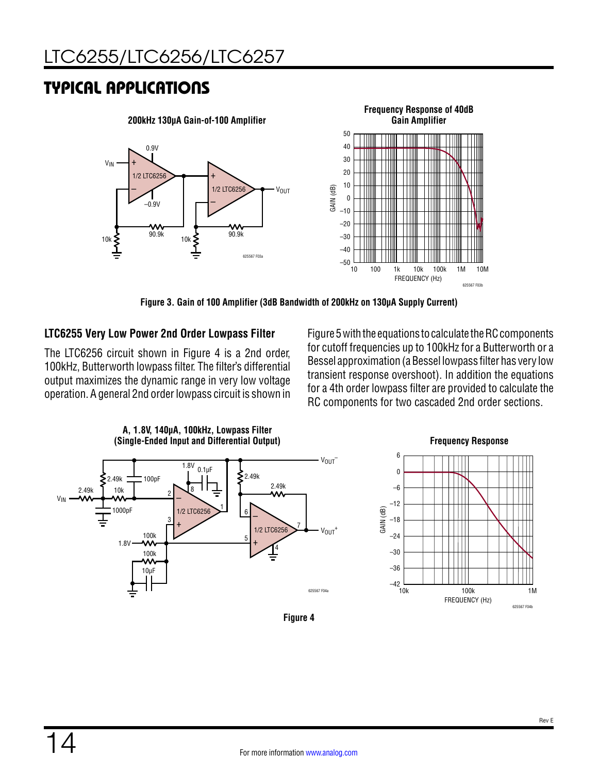### TYPICAL APPLICATIONS



**Figure 3. Gain of 100 Amplifier (3dB Bandwidth of 200kHz on 130µA Supply Current)**

#### **LTC6255 Very Low Power 2nd Order Lowpass Filter**

The LTC6256 circuit shown in [Figure 4](#page-13-0) is a 2nd order, 100kHz, Butterworth lowpass filter. The filter's differential output maximizes the dynamic range in very low voltage operation. A general 2nd order lowpass circuit is shown in [Figure 5](#page-14-0) with the equations to calculate the RC components for cutoff frequencies up to 100kHz for a Butterworth or a Bessel approximation (a Bessel lowpass filter has very low transient response overshoot). In addition the equations for a 4th order lowpass filter are provided to calculate the RC components for two cascaded 2nd order sections.



<span id="page-13-0"></span>

**Figure 4**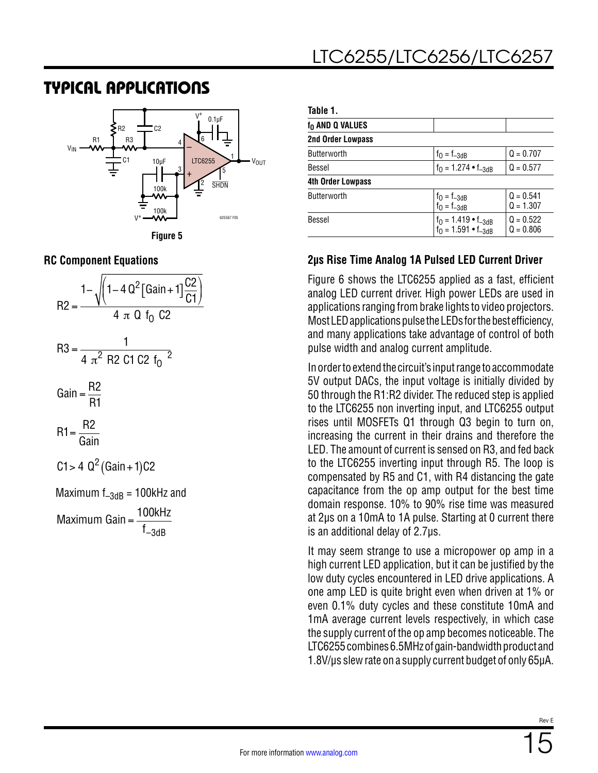### TYPICAL APPLICATIONS





| Table 1.                    |                                                              |                            |
|-----------------------------|--------------------------------------------------------------|----------------------------|
| f <sub>0</sub> AND Q VALUES |                                                              |                            |
| <b>2nd Order Lowpass</b>    |                                                              |                            |
| Butterworth                 | $f_0 = f_{-3dB}$                                             | $Q = 0.707$                |
| Bessel                      | $f_0 = 1.274 \cdot f_{-3dB}$                                 | $Q = 0.577$                |
| <b>4th Order Lowpass</b>    |                                                              |                            |
| Butterworth                 | $f_0 = f_{-3dB}$<br>$f_0 = f_{-3dB}$                         | $Q = 0.541$<br>$Q = 1.307$ |
| Bessel                      | $f_0 = 1.419 \cdot f_{-3dB}$<br>$f_0 = 1.591 \cdot f_{-3dB}$ | $Q = 0.522$<br>$Q = 0.806$ |

#### <span id="page-14-0"></span>**2µs Rise Time Analog 1A Pulsed LED Current Driver**

[Figure 6](#page-15-0) shows the LTC6255 applied as a fast, efficient analog LED current driver. High power LEDs are used in applications ranging from brake lights to video projectors. Most LED applications pulse the LEDs for the best efficiency, and many applications take advantage of control of both pulse width and analog current amplitude.

In order to extend the circuit's input range to accommodate 5V output DACs, the input voltage is initially divided by 50 through the R1:R2 divider. The reduced step is applied to the LTC6255 non inverting input, and LTC6255 output rises until MOSFETs Q1 through Q3 begin to turn on, increasing the current in their drains and therefore the LED. The amount of current is sensed on R3, and fed back to the LTC6255 inverting input through R5. The loop is compensated by R5 and C1, with R4 distancing the gate capacitance from the op amp output for the best time domain response. 10% to 90% rise time was measured at 2µs on a 10mA to 1A pulse. Starting at 0 current there is an additional delay of 2.7µs.

It may seem strange to use a micropower op amp in a high current LED application, but it can be justified by the low duty cycles encountered in LED drive applications. A one amp LED is quite bright even when driven at 1% or even 0.1% duty cycles and these constitute 10mA and 1mA average current levels respectively, in which case the supply current of the op amp becomes noticeable. The LTC6255 combines 6.5MHz of gain-bandwidth product and 1.8V/μs slew rate on a supply current budget of only 65µA.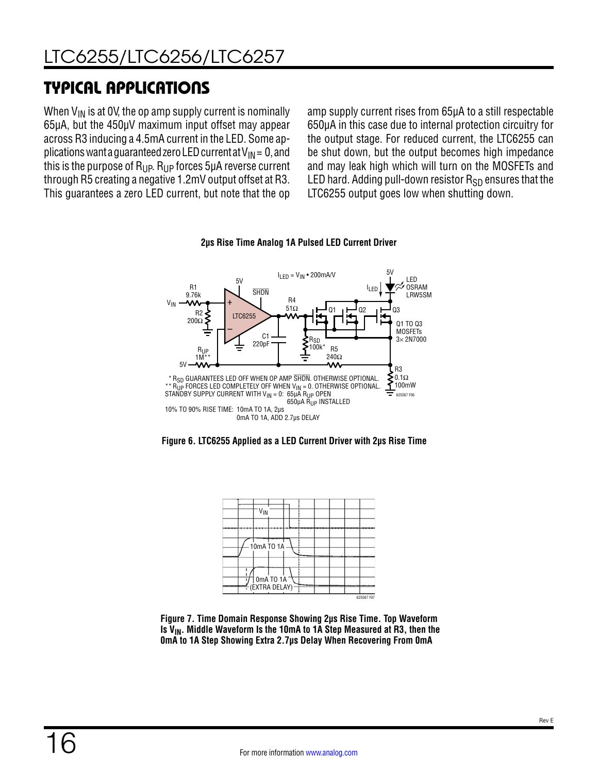# TYPICAL APPLICATIONS

When  $V_{IN}$  is at OV, the op amp supply current is nominally 65µA, but the 450µV maximum input offset may appear across R3 inducing a 4.5mA current in the LED. Some applications want a guaranteed zero LED current at  $V_{IN} = 0$ , and this is the purpose of  $R_{\text{UP}}$ .  $R_{\text{UP}}$  forces 5µA reverse current through R5 creating a negative 1.2mV output offset at R3. This guarantees a zero LED current, but note that the op amp supply current rises from 65µA to a still respectable 650µA in this case due to internal protection circuitry for the output stage. For reduced current, the LTC6255 can be shut down, but the output becomes high impedance and may leak high which will turn on the MOSFETs and LED hard. Adding pull-down resistor  $R_{SD}$  ensures that the LTC6255 output goes low when shutting down.



#### **2µs Rise Time Analog 1A Pulsed LED Current Driver**

<span id="page-15-0"></span>



**Figure 7. Time Domain Response Showing 2µs Rise Time. Top Waveform**  Is V<sub>IN</sub>. Middle Waveform Is the 10mA to 1A Step Measured at R3, then the **0mA to 1A Step Showing Extra 2.7µs Delay When Recovering From 0mA**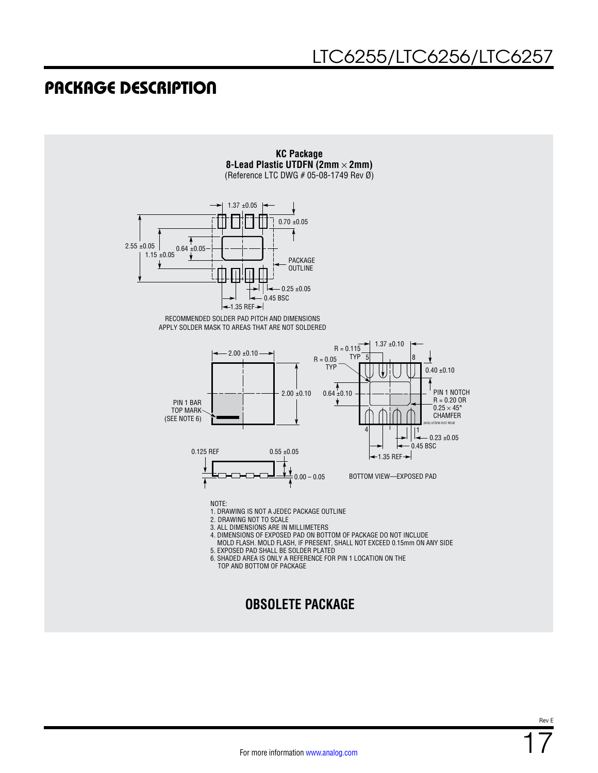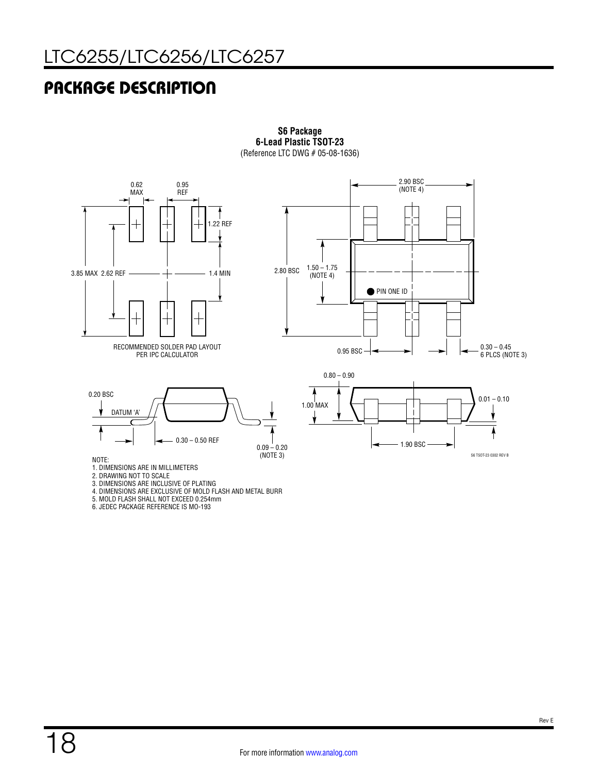

**S6 Package 6-Lead Plastic TSOT-23** (Reference LTC DWG # 05-08-1636)

3. DIMENSIONS ARE INCLUSIVE OF PLATING

4. DIMENSIONS ARE EXCLUSIVE OF MOLD FLASH AND METAL BURR

5. MOLD FLASH SHALL NOT EXCEED 0.254mm

6. JEDEC PACKAGE REFERENCE IS MO-193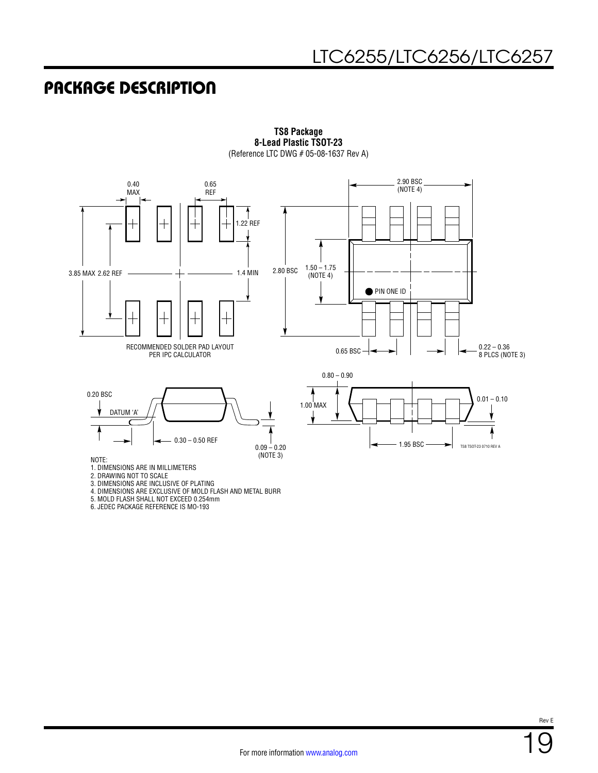

**TS8 Package 8-Lead Plastic TSOT-23** (Reference LTC DWG # 05-08-1637 Rev A)

5. MOLD FLASH SHALL NOT EXCEED 0.254mm

6. JEDEC PACKAGE REFERENCE IS MO-193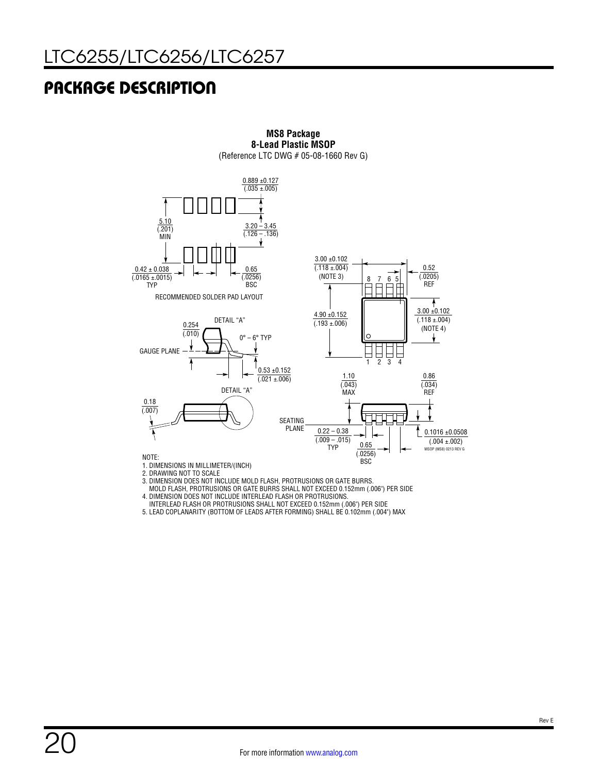

**MS8 Package 8-Lead Plastic MSOP** (Reference LTC DWG # 05-08-1660 Rev G)

 MOLD FLASH, PROTRUSIONS OR GATE BURRS SHALL NOT EXCEED 0.152mm (.006") PER SIDE 4. DIMENSION DOES NOT INCLUDE INTERLEAD FLASH OR PROTRUSIONS.

 INTERLEAD FLASH OR PROTRUSIONS SHALL NOT EXCEED 0.152mm (.006") PER SIDE 5. LEAD COPLANARITY (BOTTOM OF LEADS AFTER FORMING) SHALL BE 0.102mm (.004") MAX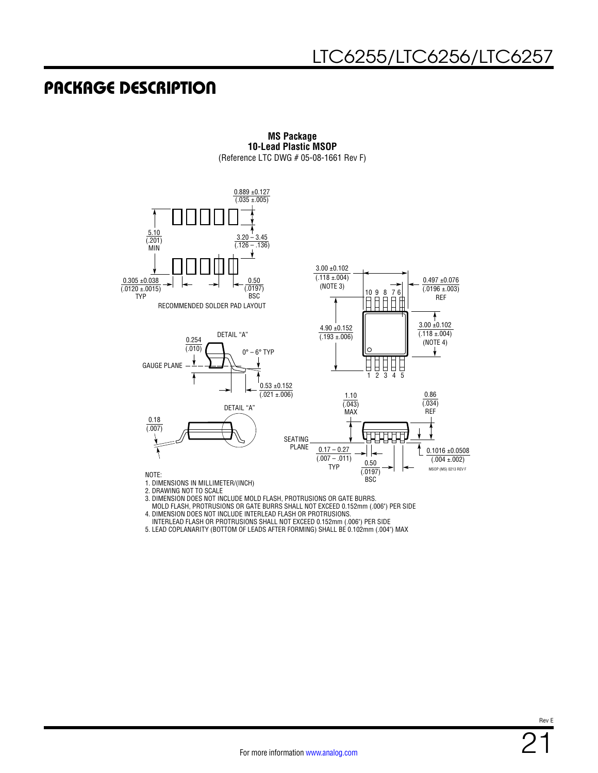

**MS Package 10-Lead Plastic MSOP** (Reference LTC DWG # 05-08-1661 Rev F)

- 
- 3. DIMENSION DOES NOT INCLUDE MOLD FLASH, PROTRUSIONS OR GATE BURRS.
- MOLD FLASH, PROTRUSIONS OR GATE BURRS SHALL NOT EXCEED 0.152mm (.006") PER SIDE
- 4. DIMENSION DOES NOT INCLUDE INTERLEAD FLASH OR PROTRUSIONS.
- INTERLEAD FLASH OR PROTRUSIONS SHALL NOT EXCEED 0.152mm (.006") PER SIDE
- 5. LEAD COPLANARITY (BOTTOM OF LEADS AFTER FORMING) SHALL BE 0.102mm (.004") MAX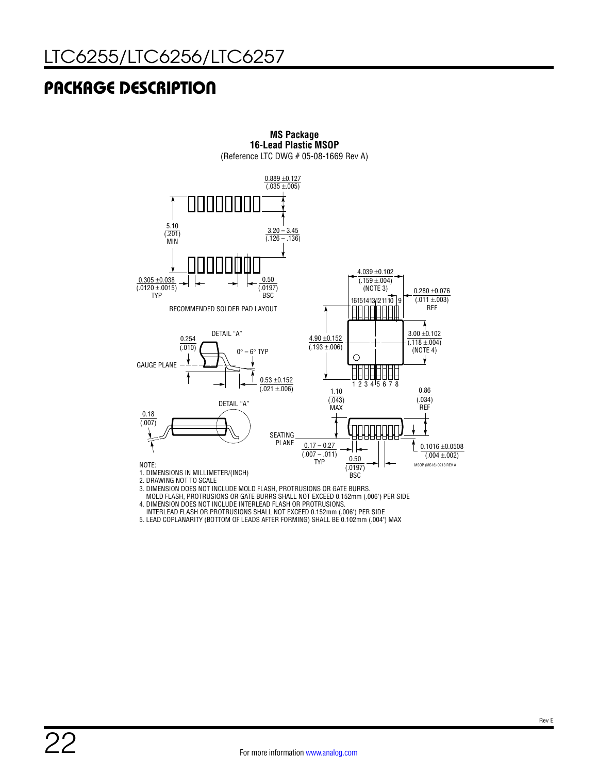

**MS Package 16-Lead Plastic MSOP** (Reference LTC DWG # 05-08-1669 Rev A)

3. DIMENSION DOES NOT INCLUDE MOLD FLASH, PROTRUSIONS OR GATE BURRS.

 MOLD FLASH, PROTRUSIONS OR GATE BURRS SHALL NOT EXCEED 0.152mm (.006") PER SIDE 4. DIMENSION DOES NOT INCLUDE INTERLEAD FLASH OR PROTRUSIONS.

INTERLEAD FLASH OR PROTRUSIONS SHALL NOT EXCEED 0.152mm (.006") PER SIDE

5. LEAD COPLANARITY (BOTTOM OF LEADS AFTER FORMING) SHALL BE 0.102mm (.004") MAX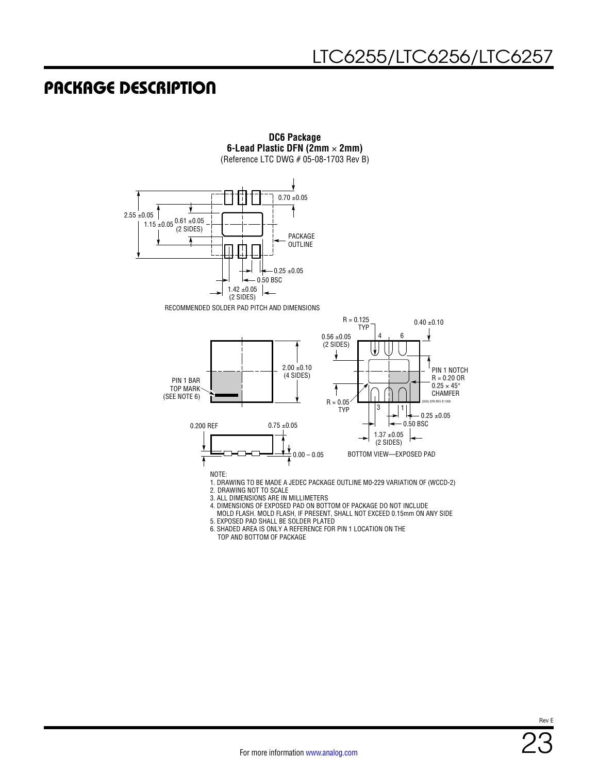

MOLD FLASH. MOLD FLASH, IF PRESENT, SHALL NOT EXCEED 0.15mm ON ANY SIDE

5. EXPOSED PAD SHALL BE SOLDER PLATED

6. SHADED AREA IS ONLY A REFERENCE FOR PIN 1 LOCATION ON THE TOP AND BOTTOM OF PACKAGE

Rev E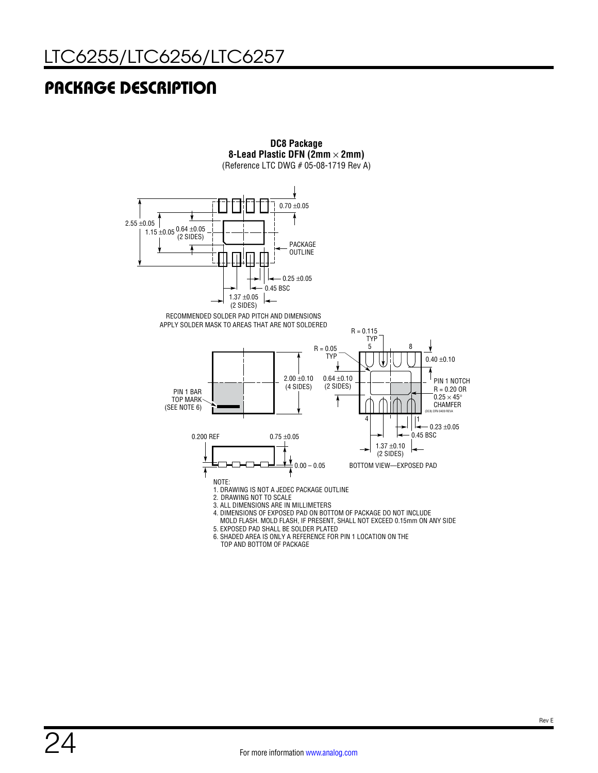

**DC8 Package**

TOP AND BOTTOM OF PACKAGE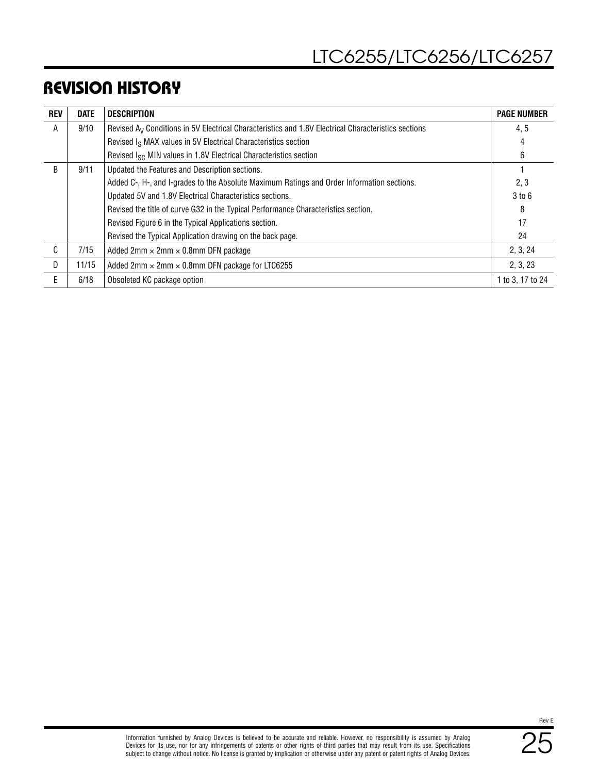### REVISION HISTORY

| <b>REV</b>   | <b>DATE</b> | <b>DESCRIPTION</b>                                                                                              | <b>PAGE NUMBER</b> |
|--------------|-------------|-----------------------------------------------------------------------------------------------------------------|--------------------|
| A            | 9/10        | Revised A <sub>V</sub> Conditions in 5V Electrical Characteristics and 1.8V Electrical Characteristics sections | 4.5                |
|              |             | Revised I <sub>S</sub> MAX values in 5V Electrical Characteristics section                                      |                    |
|              |             | Revised I <sub>SC</sub> MIN values in 1.8V Electrical Characteristics section                                   | 6                  |
| R            | 9/11        | Updated the Features and Description sections.                                                                  |                    |
|              |             | Added C-, H-, and I-grades to the Absolute Maximum Ratings and Order Information sections.                      | 2, 3               |
|              |             | Updated 5V and 1.8V Electrical Characteristics sections.                                                        | 3 to 6             |
|              |             | Revised the title of curve G32 in the Typical Performance Characteristics section.                              | 8                  |
|              |             | Revised Figure 6 in the Typical Applications section.                                                           | 17                 |
|              |             | Revised the Typical Application drawing on the back page.                                                       | 24                 |
| $\mathsf{C}$ | 7/15        | Added $2mm \times 2mm \times 0.8mm$ DFN package                                                                 | 2, 3, 24           |
| D.           | 11/15       | Added 2mm $\times$ 2mm $\times$ 0.8mm DFN package for LTC6255                                                   | 2, 3, 23           |
| E.           | 6/18        | Obsoleted KC package option                                                                                     | 1 to 3, 17 to 24   |